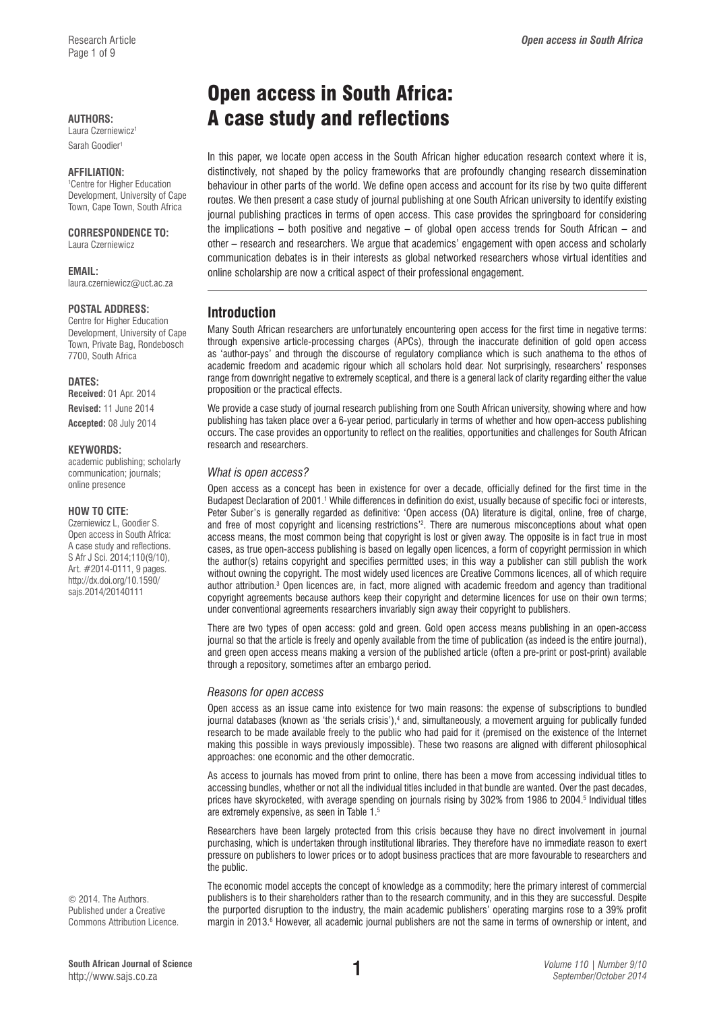### **AUTHORS:**

Laura Czerniewicz<sup>1</sup> Sarah Goodier<sup>1</sup>

### **AFFILIATION:**

1 Centre for Higher Education Development, University of Cape Town, Cape Town, South Africa

#### **CORRESPONDENCE TO:**  Laura Czerniewicz

**EMAIL:** 

[laura.czerniewicz@uct.ac.za](mailto:laura.czerniewicz@uct.ac.za)

### **POSTAL ADDRESS:**

Centre for Higher Education Development, University of Cape Town, Private Bag, Rondebosch 7700, South Africa

### **DATES:**

**Received:** 01 Apr. 2014 **Revised:** 11 June 2014 **Accepted:** 08 July 2014

# **KEYWORDS:**

academic publishing; scholarly communication; journals; online presence

### **HOW TO CITE:**

Czerniewicz L, Goodier S. Open access in South Africa: A case study and reflections. S Afr J Sci. 2014;110(9/10), Art. #2014-0111, 9 pages. [http://dx.doi.org/10.1590/](http://dx.doi.org/10.1590/sajs.2014/20140111) [sajs.2014/20140111](http://dx.doi.org/10.1590/sajs.2014/20140111)

© 2014. The Authors. Published under a Creative Commons Attribution Licence.

# Open access in South Africa: A case study and reflections

In this paper, we locate open access in the South African higher education research context where it is, distinctively, not shaped by the policy frameworks that are profoundly changing research dissemination behaviour in other parts of the world. We define open access and account for its rise by two quite different routes. We then present a case study of journal publishing at one South African university to identify existing journal publishing practices in terms of open access. This case provides the springboard for considering the implications – both positive and negative – of global open access trends for South African – and other – research and researchers. We argue that academics' engagement with open access and scholarly communication debates is in their interests as global networked researchers whose virtual identities and online scholarship are now a critical aspect of their professional engagement.

# **Introduction**

Many South African researchers are unfortunately encountering open access for the first time in negative terms: through expensive article-processing charges (APCs), through the inaccurate definition of gold open access as 'author-pays' and through the discourse of regulatory compliance which is such anathema to the ethos of academic freedom and academic rigour which all scholars hold dear. Not surprisingly, researchers' responses range from downright negative to extremely sceptical, and there is a general lack of clarity regarding either the value proposition or the practical effects.

We provide a case study of journal research publishing from one South African university, showing where and how publishing has taken place over a 6-year period, particularly in terms of whether and how open-access publishing occurs. The case provides an opportunity to reflect on the realities, opportunities and challenges for South African research and researchers.

### *What is open access?*

Open access as a concept has been in existence for over a decade, officially defined for the first time in the Budapest Declaration of 2001.<sup>1</sup> While differences in definition do exist, usually because of specific foci or interests, Peter Suber's is generally regarded as definitive: 'Open access (OA) literature is digital, online, free of charge, and free of most copyright and licensing restrictions'2 . There are numerous misconceptions about what open access means, the most common being that copyright is lost or given away. The opposite is in fact true in most cases, as true open-access publishing is based on legally open licences, a form of copyright permission in which the author(s) retains copyright and specifies permitted uses; in this way a publisher can still publish the work without owning the copyright. The most widely used licences are Creative Commons licences, all of which require author attribution.<sup>3</sup> Open licences are, in fact, more aligned with academic freedom and agency than traditional copyright agreements because authors keep their copyright and determine licences for use on their own terms; under conventional agreements researchers invariably sign away their copyright to publishers.

There are two types of open access: gold and green. Gold open access means publishing in an open-access journal so that the article is freely and openly available from the time of publication (as indeed is the entire journal), and green open access means making a version of the published article (often a pre-print or post-print) available through a repository, sometimes after an embargo period.

### *Reasons for open access*

Open access as an issue came into existence for two main reasons: the expense of subscriptions to bundled journal databases (known as 'the serials crisis'),<sup>4</sup> and, simultaneously, a movement arguing for publically funded research to be made available freely to the public who had paid for it (premised on the existence of the Internet making this possible in ways previously impossible). These two reasons are aligned with different philosophical approaches: one economic and the other democratic.

As access to journals has moved from print to online, there has been a move from accessing individual titles to accessing bundles, whether or not all the individual titles included in that bundle are wanted. Over the past decades, prices have skyrocketed, with average spending on journals rising by 302% from 1986 to 2004.5 Individual titles are extremely expensive, as seen in Table 1.5

Researchers have been largely protected from this crisis because they have no direct involvement in journal purchasing, which is undertaken through institutional libraries. They therefore have no immediate reason to exert pressure on publishers to lower prices or to adopt business practices that are more favourable to researchers and the public.

The economic model accepts the concept of knowledge as a commodity; here the primary interest of commercial publishers is to their shareholders rather than to the research community, and in this they are successful. Despite the purported disruption to the industry, the main academic publishers' operating margins rose to a 39% profit margin in 2013.<sup>6</sup> However, all academic journal publishers are not the same in terms of ownership or intent, and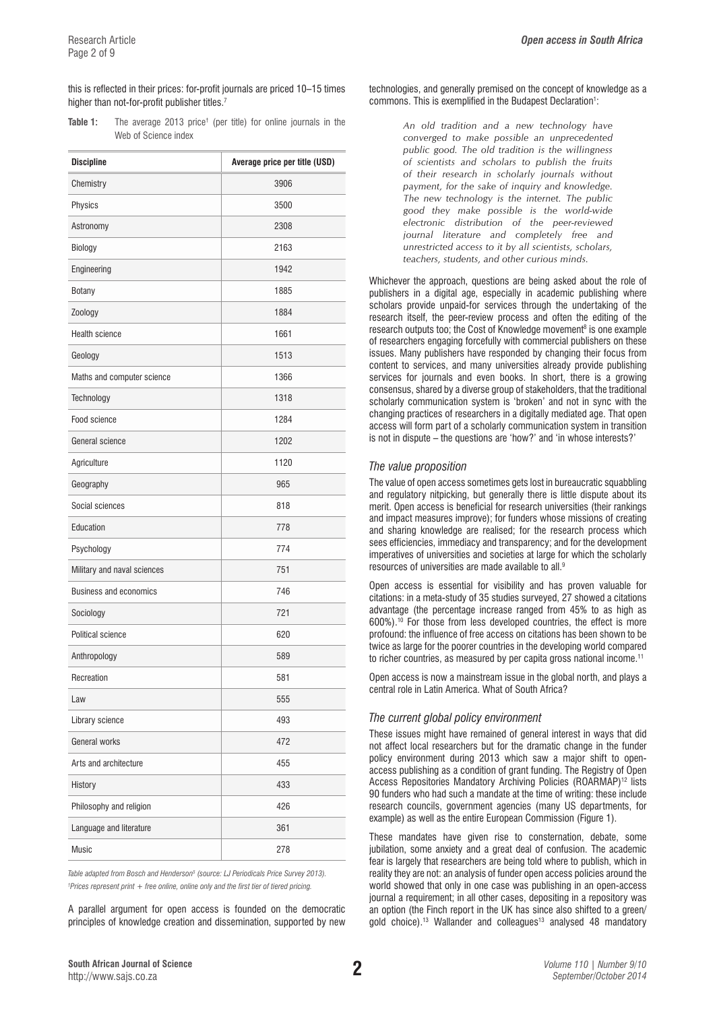this is reflected in their prices: for-profit journals are priced 10–15 times higher than not-for-profit publisher titles.<sup>7</sup>

**Table 1:** The average 2013 price<sup>t</sup> (per title) for online journals in the Web of Science index

| <b>Discipline</b>             | Average price per title (USD) |
|-------------------------------|-------------------------------|
| Chemistry                     | 3906                          |
| Physics                       | 3500                          |
| Astronomy                     | 2308                          |
| Biology                       | 2163                          |
| Engineering                   | 1942                          |
| <b>Botany</b>                 | 1885                          |
| Zoology                       | 1884                          |
| <b>Health science</b>         | 1661                          |
| Geology                       | 1513                          |
| Maths and computer science    | 1366                          |
| Technology                    | 1318                          |
| Food science                  | 1284                          |
| General science               | 1202                          |
| Agriculture                   | 1120                          |
| Geography                     | 965                           |
| Social sciences               | 818                           |
| Education                     | 778                           |
| Psychology                    | 774                           |
| Military and naval sciences   | 751                           |
| <b>Business and economics</b> | 746                           |
| Sociology                     | 721                           |
| Political science             | 620                           |
| Anthropology                  | 589                           |
| Recreation                    | 581                           |
| Law                           | 555                           |
| Library science               | 493                           |
| General works                 | 472                           |
| Arts and architecture         | 455                           |
| History                       | 433                           |
| Philosophy and religion       | 426                           |
| Language and literature       | 361                           |
| Music                         | 278                           |

*Table adapted from Bosch and Henderson5 (source: LJ Periodicals Price Survey 2013). † Prices represent print + free online, online only and the first tier of tiered pricing.*

A parallel argument for open access is founded on the democratic principles of knowledge creation and dissemination, supported by new

### technologies, and generally premised on the concept of knowledge as a commons. This is exemplified in the Budapest Declaration<sup>1</sup>:

*An old tradition and a new technology have converged to make possible an unprecedented public good. The old tradition is the willingness of scientists and scholars to publish the fruits of their research in scholarly journals without payment, for the sake of inquiry and knowledge. The new technology is the internet. The public good they make possible is the world-wide electronic distribution of the peer-reviewed journal literature and completely free and unrestricted access to it by all scientists, scholars, teachers, students, and other curious minds.* 

Whichever the approach, questions are being asked about the role of publishers in a digital age, especially in academic publishing where scholars provide unpaid-for services through the undertaking of the research itself, the peer-review process and often the editing of the research outputs too; the Cost of Knowledge movement<sup>8</sup> is one example of researchers engaging forcefully with commercial publishers on these issues. Many publishers have responded by changing their focus from content to services, and many universities already provide publishing services for journals and even books. In short, there is a growing consensus, shared by a diverse group of stakeholders, that the traditional scholarly communication system is 'broken' and not in sync with the changing practices of researchers in a digitally mediated age. That open access will form part of a scholarly communication system in transition is not in dispute – the questions are 'how?' and 'in whose interests?'

### *The value proposition*

The value of open access sometimes gets lost in bureaucratic squabbling and regulatory nitpicking, but generally there is little dispute about its merit. Open access is beneficial for research universities (their rankings and impact measures improve); for funders whose missions of creating and sharing knowledge are realised; for the research process which sees efficiencies, immediacy and transparency; and for the development imperatives of universities and societies at large for which the scholarly resources of universities are made available to all.9

Open access is essential for visibility and has proven valuable for citations: in a meta-study of 35 studies surveyed, 27 showed a citations advantage (the percentage increase ranged from 45% to as high as 600%).10 For those from less developed countries, the effect is more profound: the influence of free access on citations has been shown to be twice as large for the poorer countries in the developing world compared to richer countries, as measured by per capita gross national income.11

Open access is now a mainstream issue in the global north, and plays a central role in Latin America. What of South Africa?

### *The current global policy environment*

These issues might have remained of general interest in ways that did not affect local researchers but for the dramatic change in the funder policy environment during 2013 which saw a major shift to openaccess publishing as a condition of grant funding. The Registry of Open Access Repositories Mandatory Archiving Policies (ROARMAP)12 lists 90 funders who had such a mandate at the time of writing: these include research councils, government agencies (many US departments, for example) as well as the entire European Commission (Figure 1).

These mandates have given rise to consternation, debate, some jubilation, some anxiety and a great deal of confusion. The academic fear is largely that researchers are being told where to publish, which in reality they are not: an analysis of funder open access policies around the world showed that only in one case was publishing in an open-access journal a requirement; in all other cases, depositing in a repository was an option (the Finch report in the UK has since also shifted to a green/ gold choice).<sup>13</sup> Wallander and colleagues<sup>13</sup> analysed 48 mandatory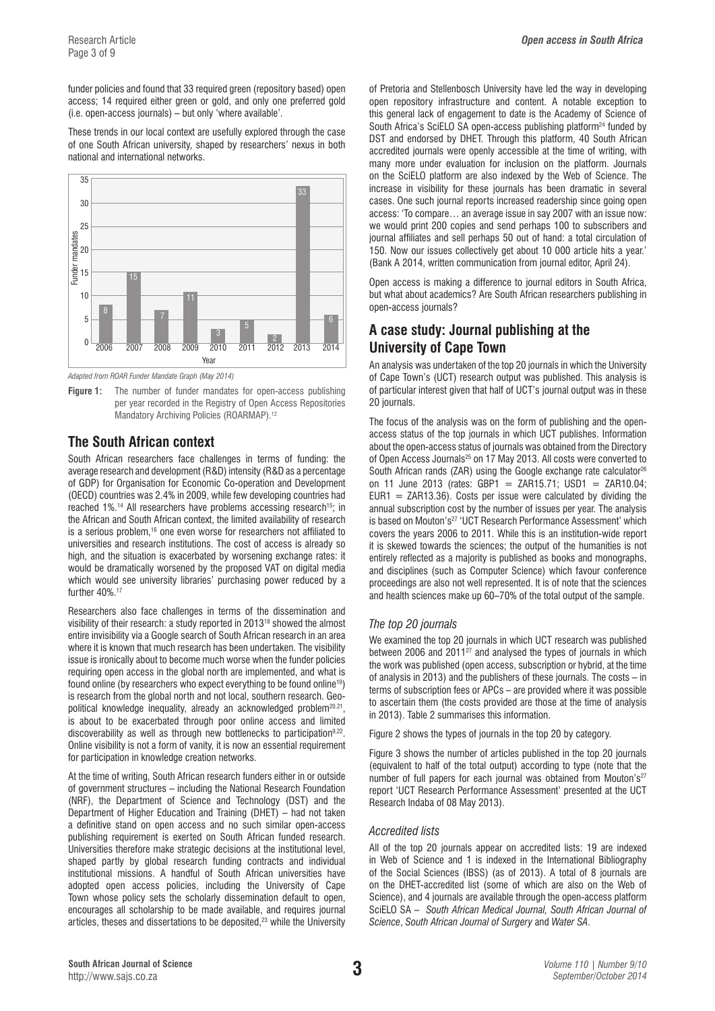funder policies and found that 33 required green (repository based) open access; 14 required either green or gold, and only one preferred gold (i.e. open-access journals) – but only 'where available'.

These trends in our local context are usefully explored through the case of one South African university, shaped by researchers' nexus in both national and international networks.



*Adapted from ROAR Funder Mandate Graph (May 2014)*

**Figure 1:** The number of funder mandates for open-access publishing per year recorded in the Registry of Open Access Repositories Mandatory Archiving Policies (ROARMAP).<sup>12</sup>

# **The South African context**

South African researchers face challenges in terms of funding: the average research and development (R&D) intensity (R&D as a percentage of GDP) for Organisation for Economic Co-operation and Development (OECD) countries was 2.4% in 2009, while few developing countries had reached 1%.<sup>14</sup> All researchers have problems accessing research<sup>15</sup>; in the African and South African context, the limited availability of research is a serious problem,<sup>16</sup> one even worse for researchers not affiliated to universities and research institutions. The cost of access is already so high, and the situation is exacerbated by worsening exchange rates: it would be dramatically worsened by the proposed VAT on digital media which would see university libraries' purchasing power reduced by a further 40%.17

Researchers also face challenges in terms of the dissemination and visibility of their research: a study reported in 201318 showed the almost entire invisibility via a Google search of South African research in an area where it is known that much research has been undertaken. The visibility issue is ironically about to become much worse when the funder policies requiring open access in the global north are implemented, and what is found online (by researchers who expect everything to be found online19) is research from the global north and not local, southern research. Geopolitical knowledge inequality, already an acknowledged problem<sup>20,21</sup>, is about to be exacerbated through poor online access and limited discoverability as well as through new bottlenecks to participation<sup>9,22</sup>. Online visibility is not a form of vanity, it is now an essential requirement for participation in knowledge creation networks.

At the time of writing, South African research funders either in or outside of government structures – including the National Research Foundation (NRF), the Department of Science and Technology (DST) and the Department of Higher Education and Training (DHET) – had not taken a definitive stand on open access and no such similar open-access publishing requirement is exerted on South African funded research. Universities therefore make strategic decisions at the institutional level, shaped partly by global research funding contracts and individual institutional missions. A handful of South African universities have adopted open access policies, including the University of Cape Town whose policy sets the scholarly dissemination default to open, encourages all scholarship to be made available, and requires journal articles, theses and dissertations to be deposited,<sup>23</sup> while the University

of Pretoria and Stellenbosch University have led the way in developing open repository infrastructure and content. A notable exception to this general lack of engagement to date is the Academy of Science of South Africa's SciELO SA open-access publishing platform<sup>24</sup> funded by DST and endorsed by DHET. Through this platform, 40 South African accredited journals were openly accessible at the time of writing, with many more under evaluation for inclusion on the platform. Journals on the SciELO platform are also indexed by the Web of Science. The increase in visibility for these journals has been dramatic in several cases. One such journal reports increased readership since going open access: 'To compare… an average issue in say 2007 with an issue now: we would print 200 copies and send perhaps 100 to subscribers and journal affiliates and sell perhaps 50 out of hand: a total circulation of 150. Now our issues collectively get about 10 000 article hits a year.' (Bank A 2014, written communication from journal editor, April 24).

Open access is making a difference to journal editors in South Africa, but what about academics? Are South African researchers publishing in open-access journals?

# **A case study: Journal publishing at the University of Cape Town**

An analysis was undertaken of the top 20 journals in which the University of Cape Town's (UCT) research output was published. This analysis is of particular interest given that half of UCT's journal output was in these 20 journals.

The focus of the analysis was on the form of publishing and the openaccess status of the top journals in which UCT publishes. Information about the open-access status of journals was obtained from the Directory of Open Access Journals<sup>25</sup> on 17 May 2013. All costs were converted to South African rands (ZAR) using the Google exchange rate calculator<sup>26</sup> on 11 June 2013 (rates: GBP1 = ZAR15.71; USD1 = ZAR10.04;  $EUR1 = ZAR13.36$ ). Costs per issue were calculated by dividing the annual subscription cost by the number of issues per year. The analysis is based on Mouton's<sup>27</sup> 'UCT Research Performance Assessment' which covers the years 2006 to 2011. While this is an institution-wide report it is skewed towards the sciences; the output of the humanities is not entirely reflected as a majority is published as books and monographs, and disciplines (such as Computer Science) which favour conference proceedings are also not well represented. It is of note that the sciences and health sciences make up 60–70% of the total output of the sample.

### *The top 20 journals*

We examined the top 20 journals in which UCT research was published between 2006 and 201127 and analysed the types of journals in which the work was published (open access, subscription or hybrid, at the time of analysis in 2013) and the publishers of these journals. The costs – in terms of subscription fees or APCs – are provided where it was possible to ascertain them (the costs provided are those at the time of analysis in 2013). Table 2 summarises this information.

Figure 2 shows the types of journals in the top 20 by category.

Figure 3 shows the number of articles published in the top 20 journals (equivalent to half of the total output) according to type (note that the number of full papers for each journal was obtained from Mouton's<sup>27</sup> report 'UCT Research Performance Assessment' presented at the UCT Research Indaba of 08 May 2013).

### *Accredited lists*

All of the top 20 journals appear on accredited lists: 19 are indexed in Web of Science and 1 is indexed in the International Bibliography of the Social Sciences (IBSS) (as of 2013). A total of 8 journals are on the DHET-accredited list (some of which are also on the Web of Science), and 4 journals are available through the open-access platform SciELO SA – *South African Medical Journal, South African Journal of Science*, *South African Journal of Surgery* and *Water SA*.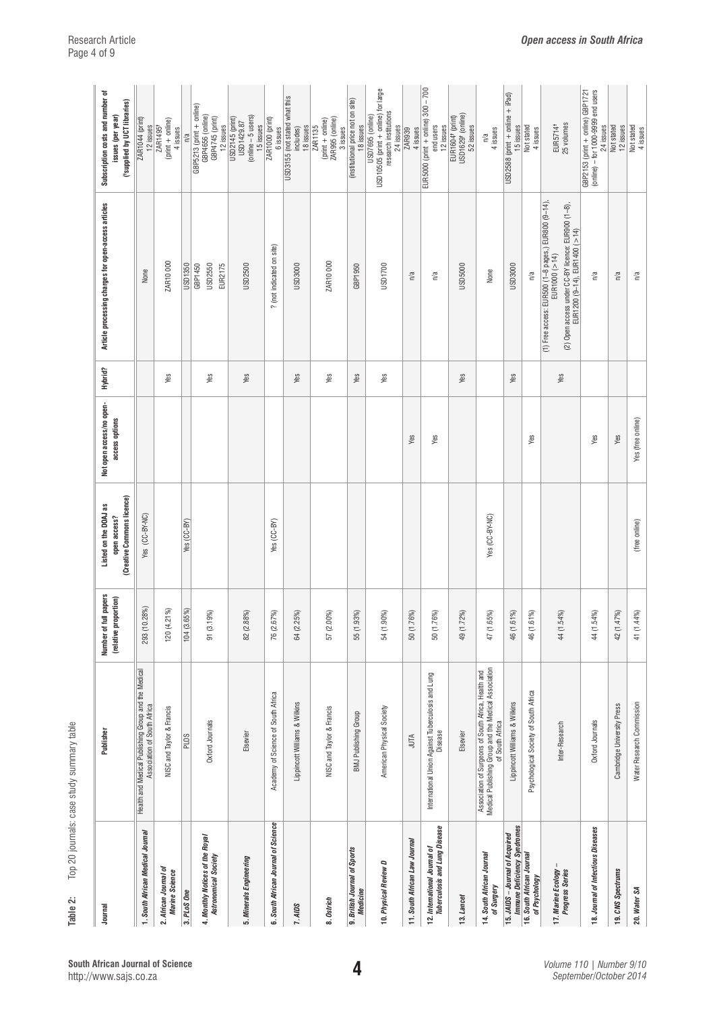| Journal                                                                   | Publisher                                                                                                                   | full papers<br>(relative proportion)<br>Number of | (Creative Commons licence)<br>Listed on the DOAJ as<br>open access? | Not open access/no open-<br>access options | Hybrid? | Article processing charges for open-access articles                                                                                                                   | Subscription costs and number of<br>('supplied by UCT libraries)<br>issues (per year)         |
|---------------------------------------------------------------------------|-----------------------------------------------------------------------------------------------------------------------------|---------------------------------------------------|---------------------------------------------------------------------|--------------------------------------------|---------|-----------------------------------------------------------------------------------------------------------------------------------------------------------------------|-----------------------------------------------------------------------------------------------|
| 1. South African Medical Journal                                          | Health and Medical Publishing Group and the Medical<br>Association of South Africa                                          | 293 (10.28%)                                      | Yes (CC-BY-NC)                                                      |                                            |         | None                                                                                                                                                                  | ZAR1044 (print)<br>12 issues                                                                  |
| 2. African Journal of<br>Marine Science                                   | NISC and Taylor & Francis                                                                                                   | 120 (4.21%)                                       |                                                                     |                                            | Yes     | ZAR10000                                                                                                                                                              | $(\text{pint} + \text{online})$<br>4 issues<br>ZAR1495 <sup>+</sup>                           |
| 3. PLoS One                                                               | PLOS                                                                                                                        | 104 (3.65%)                                       | Yes (CC-BY)                                                         |                                            |         | USD1350                                                                                                                                                               |                                                                                               |
| 4. Monthly Notices of the Royal<br>Astronomical Society                   | Oxford Journals                                                                                                             | 91(3.19%)                                         |                                                                     |                                            | Yes     | GBP1450<br>USD2550<br>EUR2175                                                                                                                                         | GBP5213 (print + online)<br>GBP4656 (online)<br>GBP4745 (print)<br>12 issues                  |
| 5. Minerals Engineering                                                   | Elsevier                                                                                                                    | .88%<br>82 <sup>(2)</sup>                         |                                                                     |                                            | Yes     | USD2500                                                                                                                                                               | $(online - 5 users)$<br>USD2145 (print)<br>USD1429.87<br>15 issues                            |
| 6. South African Journal of Science                                       | Academy of Science of South Africa                                                                                          | .67%<br>76 (2.                                    | Yes (CC-BY)                                                         |                                            |         | ? (not indicated on site)                                                                                                                                             | ZAR1000 (print)<br>6 issues                                                                   |
| 7. AIDS                                                                   | Lippincott Williams & Wilkins                                                                                               | 64 (2.25%)                                        |                                                                     |                                            | Yes     | USD3000                                                                                                                                                               | USD3155 (not stated what this<br>18 issues<br>includes)                                       |
| 8. Ostrich                                                                | NISC and Taylor & Francis                                                                                                   | 57 (2.00%)                                        |                                                                     |                                            | Yes     | ZAR10000                                                                                                                                                              | $(pint + online)$<br>ZAR995 (online)<br>ZAR1135<br>3 issues                                   |
| 9. British Journal of Sports<br><b>Medicine</b>                           | <b>BMJ Publishing Group</b>                                                                                                 | 55 (1.93%)                                        |                                                                     |                                            | Yes     | GBP1950                                                                                                                                                               | (institutional price not on site)<br>18 issues                                                |
| 10. Physical Review D                                                     | American Physical Society                                                                                                   | 54 (1.90%)                                        |                                                                     |                                            | Yes     | USD1700                                                                                                                                                               | USD10505 (print + online) for large<br>research institutions<br>USD7695 (online)<br>24 issues |
| 11. South African Law Journal                                             | JUTA                                                                                                                        | .76%<br>50 (1.                                    |                                                                     | Yes                                        |         | n/a                                                                                                                                                                   | 4 issues<br>ZAR939                                                                            |
| <b>12. International Journal of</b><br>Tuberculosis and Lung Disease      | International Union Against Tuberculosis and Lung<br>Disease                                                                | 50 (1.76%)                                        |                                                                     | Yes                                        |         | n/a                                                                                                                                                                   | EUR5000 (print + online) 300 - 700<br>end users<br>12 issues                                  |
| 13. Lancet                                                                | Elsevier                                                                                                                    | 49 (1.72%)                                        |                                                                     |                                            | Yes     | USD5000                                                                                                                                                               | USD1629 <sup>t</sup> (online)<br>EUR1604 <sup>+</sup> (print)<br>52 issues                    |
| 14. South African Journal<br>of Surgery                                   | Association of Surgeons of South Africa, Health and<br>Medical Publishing Group and the Medical Association<br>South Africa | 47 (1.65%)                                        | Yes (CC-BY-NC)                                                      |                                            |         | None                                                                                                                                                                  | 4 issues<br>n/a                                                                               |
| 15. JAIDS - Journal of Acquired                                           | Lippincott Williams & Wilkins                                                                                               | .61%<br>46 (1.                                    |                                                                     |                                            | Yes     | USD3000                                                                                                                                                               | $USD2588$ (print + online + iPad)<br>15 issues                                                |
| Immune Deficiency Syndromes<br>16. South African Journal<br>of Psychology | Psychological Society of South Africa                                                                                       | .61%<br>46 (1.                                    |                                                                     | Yes                                        |         | n/a                                                                                                                                                                   | Not stated<br>4 issues                                                                        |
| 17. Marine Ecology<br><b>Progress Series</b>                              | Inter-Research                                                                                                              | 44 (1.54%)                                        |                                                                     |                                            | Yes     | (1) Free access: EUR500 (1-8 pages,) EUR800 (9-14),<br>(2) Open access under CC-BY licence: EUR900 (1–8), $\text{EUR1200 (9–14), EUR1400 (>14)}$<br>EUR1000 $($ > 14) | 25 volumes<br>EUR5714 <sup>+</sup>                                                            |
| 18. Journal of Infectious Diseases                                        | Oxford Journals                                                                                                             | 44 (1.54%)                                        |                                                                     | Yes                                        |         | n/a                                                                                                                                                                   | GBP2153 (print + online) GBP1721<br>(online) - for 1000-9999 end users<br>24 issues           |
| 19. CNS Spectrums                                                         | Cambridge University Press                                                                                                  | 47%)<br>42 (1.                                    |                                                                     | Yes                                        |         | n/a                                                                                                                                                                   | Not stated<br>12 issues                                                                       |
| 20. Water SA                                                              | Water Research Commission                                                                                                   | 41 (1.44%)                                        | (free online)                                                       | Yes (free online)                          |         | n/a                                                                                                                                                                   | Not stated<br>4 issues                                                                        |

Top 20 journals: case study summary table

Table 2: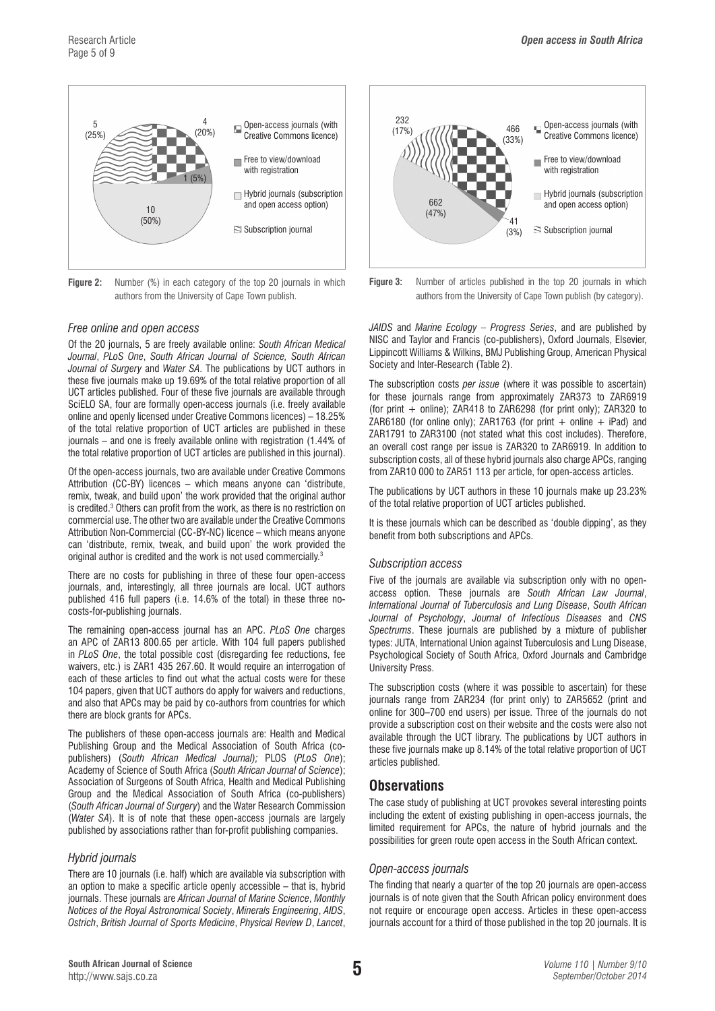

**Figure 2:** Number (%) in each category of the top 20 journals in which authors from the University of Cape Town publish.

### *Free online and open access*

Of the 20 journals, 5 are freely available online: *South African Medical Journal*, *PLoS One*, *South African Journal of Science, South African Journal of Surgery* and *Water SA*. The publications by UCT authors in these five journals make up 19.69% of the total relative proportion of all UCT articles published. Four of these five journals are available through SciELO SA, four are formally open-access journals (i.e. freely available online and openly licensed under Creative Commons licences) – 18.25% of the total relative proportion of UCT articles are published in these journals – and one is freely available online with registration (1.44% of the total relative proportion of UCT articles are published in this journal).

Of the open-access journals, two are available under Creative Commons Attribution (CC-BY) licences – which means anyone can 'distribute, remix, tweak, and build upon' the work provided that the original author is credited.<sup>3</sup> Others can profit from the work, as there is no restriction on commercial use. The other two are available under the Creative Commons Attribution Non-Commercial (CC-BY-NC) licence – which means anyone can 'distribute, remix, tweak, and build upon' the work provided the original author is credited and the work is not used commercially.<sup>3</sup>

There are no costs for publishing in three of these four open-access journals, and, interestingly, all three journals are local. UCT authors published 416 full papers (i.e. 14.6% of the total) in these three nocosts-for-publishing journals.

The remaining open-access journal has an APC. *PLoS One* charges an APC of ZAR13 800.65 per article. With 104 full papers published in *PLoS One*, the total possible cost (disregarding fee reductions, fee waivers, etc.) is ZAR1 435 267.60. It would require an interrogation of each of these articles to find out what the actual costs were for these 104 papers, given that UCT authors do apply for waivers and reductions, and also that APCs may be paid by co-authors from countries for which there are block grants for APCs.

The publishers of these open-access journals are: Health and Medical Publishing Group and the Medical Association of South Africa (copublishers) (*South African Medical Journal);* PLOS (*PLoS One*); Academy of Science of South Africa (*South African Journal of Science*); Association of Surgeons of South Africa, Health and Medical Publishing Group and the Medical Association of South Africa (co-publishers) (*South African Journal of Surgery*) and the Water Research Commission (*Water SA*). It is of note that these open-access journals are largely published by associations rather than for-profit publishing companies.

### *Hybrid journals*

There are 10 journals (i.e. half) which are available via subscription with an option to make a specific article openly accessible – that is, hybrid journals. These journals are *African Journal of Marine Science*, *Monthly Notices of the Royal Astronomical Society*, *Minerals Engineering*, *AIDS*, *Ostrich*, *British Journal of Sports Medicine*, *Physical Review D*, *Lancet*,



**Figure 3:** Number of articles published in the top 20 journals in which authors from the University of Cape Town publish (by category).

*JAIDS* and *Marine Ecology – Progress Series*, and are published by NISC and Taylor and Francis (co-publishers), Oxford Journals, Elsevier, Lippincott Williams & Wilkins, BMJ Publishing Group, American Physical Society and Inter-Research (Table 2).

The subscription costs *per issue* (where it was possible to ascertain) for these journals range from approximately ZAR373 to ZAR6919 (for print + online); ZAR418 to ZAR6298 (for print only); ZAR320 to ZAR6180 (for online only); ZAR1763 (for print  $+$  online  $+$  iPad) and ZAR1791 to ZAR3100 (not stated what this cost includes). Therefore, an overall cost range per issue is ZAR320 to ZAR6919. In addition to subscription costs, all of these hybrid journals also charge APCs, ranging from ZAR10 000 to ZAR51 113 per article, for open-access articles.

The publications by UCT authors in these 10 journals make up 23.23% of the total relative proportion of UCT articles published.

It is these journals which can be described as 'double dipping', as they benefit from both subscriptions and APCs.

### *Subscription access*

Five of the journals are available via subscription only with no openaccess option. These journals are *South African Law Journal*, *International Journal of Tuberculosis and Lung Disease*, *South African Journal of Psychology*, *Journal of Infectious Diseases* and *CNS Spectrums*. These journals are published by a mixture of publisher types: JUTA, International Union against Tuberculosis and Lung Disease, Psychological Society of South Africa, Oxford Journals and Cambridge University Press.

The subscription costs (where it was possible to ascertain) for these journals range from ZAR234 (for print only) to ZAR5652 (print and online for 300–700 end users) per issue. Three of the journals do not provide a subscription cost on their website and the costs were also not available through the UCT library. The publications by UCT authors in these five journals make up 8.14% of the total relative proportion of UCT articles published.

### **Observations**

The case study of publishing at UCT provokes several interesting points including the extent of existing publishing in open-access journals, the limited requirement for APCs, the nature of hybrid journals and the possibilities for green route open access in the South African context.

### *Open-access journals*

The finding that nearly a quarter of the top 20 journals are open-access journals is of note given that the South African policy environment does not require or encourage open access. Articles in these open-access journals account for a third of those published in the top 20 journals. It is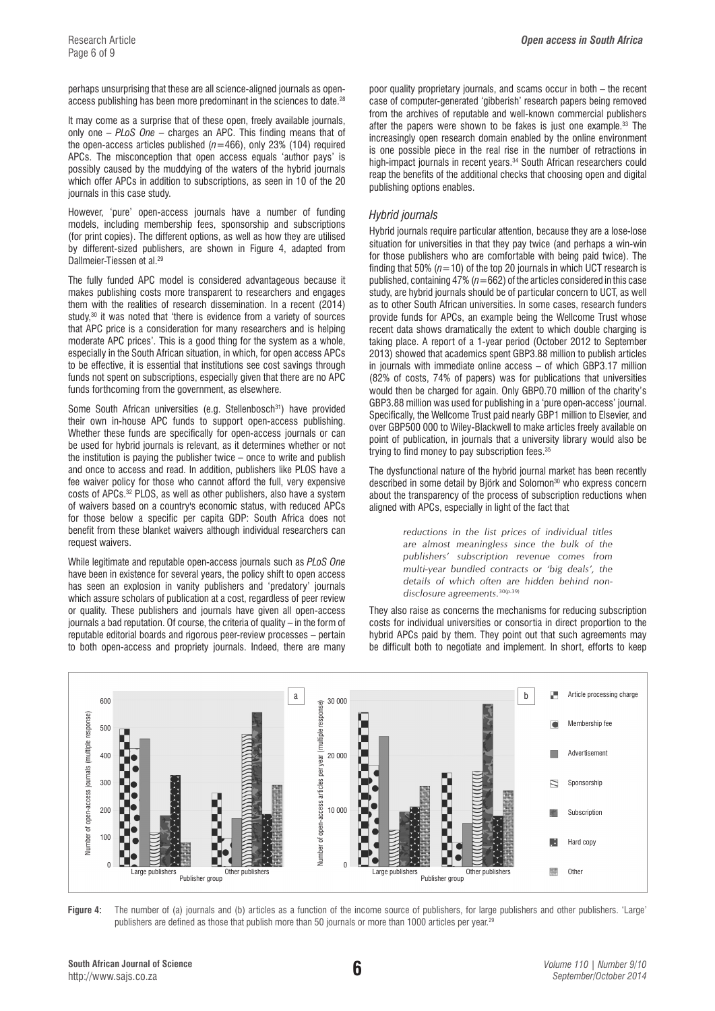perhaps unsurprising that these are all science-aligned journals as openaccess publishing has been more predominant in the sciences to date.28

It may come as a surprise that of these open, freely available journals, only one – *PLoS One* – charges an APC. This finding means that of the open-access articles published  $(n=466)$ , only 23% (104) required APCs. The misconception that open access equals 'author pays' is possibly caused by the muddying of the waters of the hybrid journals which offer APCs in addition to subscriptions, as seen in 10 of the 20 journals in this case study.

However, 'pure' open-access journals have a number of funding models, including membership fees, sponsorship and subscriptions (for print copies). The different options, as well as how they are utilised by different-sized publishers, are shown in Figure 4, adapted from Dallmeier-Tiessen et al.29

The fully funded APC model is considered advantageous because it makes publishing costs more transparent to researchers and engages them with the realities of research dissemination. In a recent (2014) study,<sup>30</sup> it was noted that 'there is evidence from a variety of sources that APC price is a consideration for many researchers and is helping moderate APC prices'. This is a good thing for the system as a whole, especially in the South African situation, in which, for open access APCs to be effective, it is essential that institutions see cost savings through funds not spent on subscriptions, especially given that there are no APC funds forthcoming from the government, as elsewhere.

Some South African universities (e.g. Stellenbosch<sup>31</sup>) have provided their own in-house APC funds to support open-access publishing. Whether these funds are specifically for open-access journals or can be used for hybrid journals is relevant, as it determines whether or not the institution is paying the publisher twice – once to write and publish and once to access and read. In addition, publishers like PLOS have a fee waiver policy for those who cannot afford the full, very expensive costs of APCs.32 PLOS, as well as other publishers, also have a system of waivers based on a country's economic status, with reduced APCs for those below a specific per capita GDP: South Africa does not benefit from these blanket waivers although individual researchers can request waivers.

While legitimate and reputable open-access journals such as *PLoS One* have been in existence for several years, the policy shift to open access has seen an explosion in vanity publishers and 'predatory' journals which assure scholars of publication at a cost, regardless of peer review or quality. These publishers and journals have given all open-access journals a bad reputation. Of course, the criteria of quality – in the form of reputable editorial boards and rigorous peer-review processes – pertain to both open-access and propriety journals. Indeed, there are many

poor quality proprietary journals, and scams occur in both – the recent case of computer-generated 'gibberish' research papers being removed from the archives of reputable and well-known commercial publishers after the papers were shown to be fakes is just one example.33 The increasingly open research domain enabled by the online environment is one possible piece in the real rise in the number of retractions in high-impact journals in recent years.<sup>34</sup> South African researchers could reap the benefits of the additional checks that choosing open and digital publishing options enables.

### *Hybrid journals*

Hybrid journals require particular attention, because they are a lose-lose situation for universities in that they pay twice (and perhaps a win-win for those publishers who are comfortable with being paid twice). The finding that 50% (*n*=10) of the top 20 journals in which UCT research is published, containing 47% (*n*=662) of the articles considered in this case study, are hybrid journals should be of particular concern to UCT, as well as to other South African universities. In some cases, research funders provide funds for APCs, an example being the Wellcome Trust whose recent data shows dramatically the extent to which double charging is taking place. A report of a 1-year period (October 2012 to September 2013) showed that academics spent GBP3.88 million to publish articles in journals with immediate online access – of which GBP3.17 million (82% of costs, 74% of papers) was for publications that universities would then be charged for again. Only GBP0.70 million of the charity's GBP3.88 million was used for publishing in a 'pure open-access' journal. Specifically, the Wellcome Trust paid nearly GBP1 million to Elsevier, and over GBP500 000 to Wiley-Blackwell to make articles freely available on point of publication, in journals that a university library would also be trying to find money to pay subscription fees.<sup>35</sup>

The dysfunctional nature of the hybrid journal market has been recently described in some detail by Björk and Solomon<sup>30</sup> who express concern about the transparency of the process of subscription reductions when aligned with APCs, especially in light of the fact that

> *reductions in the list prices of individual titles are almost meaningless since the bulk of the publishers' subscription revenue comes from multi-year bundled contracts or 'big deals', the details of which often are hidden behind nondisclosure agreements.*30(p.39)

They also raise as concerns the mechanisms for reducing subscription costs for individual universities or consortia in direct proportion to the hybrid APCs paid by them. They point out that such agreements may be difficult both to negotiate and implement. In short, efforts to keep



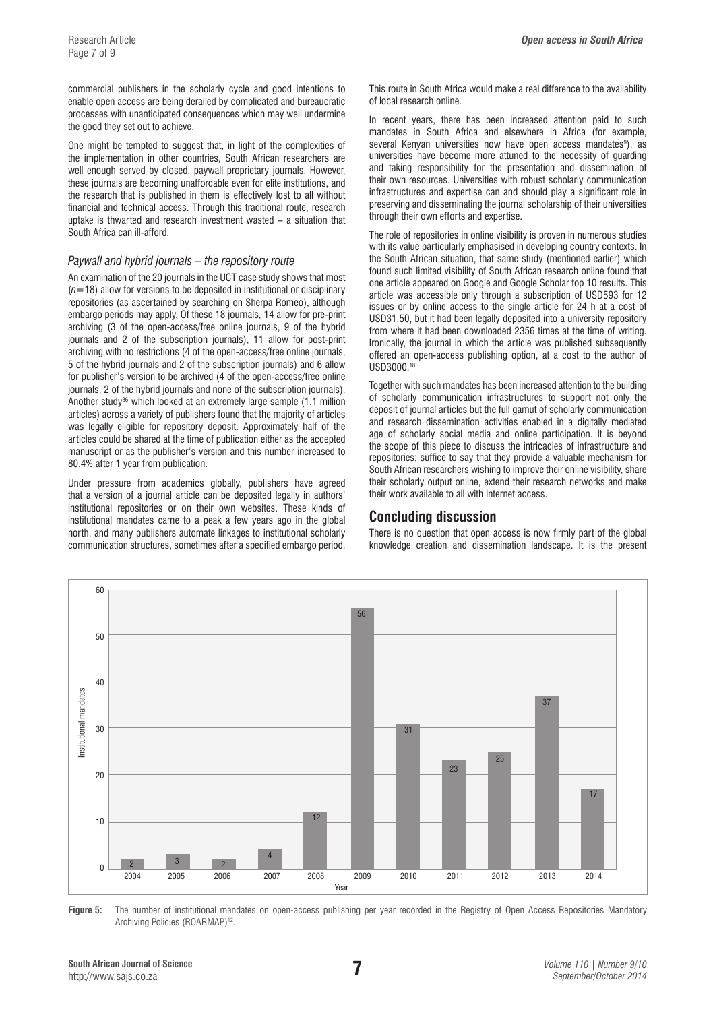commercial publishers in the scholarly cycle and good intentions to enable open access are being derailed by complicated and bureaucratic processes with unanticipated consequences which may well undermine the good they set out to achieve.

One might be tempted to suggest that, in light of the complexities of the implementation in other countries, South African researchers are well enough served by closed, paywall proprietary journals. However, these journals are becoming unaffordable even for elite institutions, and the research that is published in them is effectively lost to all without financial and technical access. Through this traditional route, research uptake is thwarted and research investment wasted – a situation that South Africa can ill-afford.

### *Paywall and hybrid journals – the repository route*

An examination of the 20 journals in the UCT case study shows that most (*n*=18) allow for versions to be deposited in institutional or disciplinary repositories (as ascertained by searching on Sherpa Romeo), although embargo periods may apply. Of these 18 journals, 14 allow for pre-print archiving (3 of the open-access/free online journals, 9 of the hybrid journals and 2 of the subscription journals), 11 allow for post-print archiving with no restrictions (4 of the open-access/free online journals, 5 of the hybrid journals and 2 of the subscription journals) and 6 allow for publisher's version to be archived (4 of the open-access/free online journals, 2 of the hybrid journals and none of the subscription journals). Another study<sup>36</sup> which looked at an extremely large sample (1.1 million articles) across a variety of publishers found that the majority of articles was legally eligible for repository deposit. Approximately half of the articles could be shared at the time of publication either as the accepted manuscript or as the publisher's version and this number increased to 80.4% after 1 year from publication.

Under pressure from academics globally, publishers have agreed that a version of a journal article can be deposited legally in authors' institutional repositories or on their own websites. These kinds of institutional mandates came to a peak a few years ago in the global north, and many publishers automate linkages to institutional scholarly communication structures, sometimes after a specified embargo period.

This route in South Africa would make a real difference to the availability of local research online.

In recent years, there has been increased attention paid to such mandates in South Africa and elsewhere in Africa (for example, several Kenyan universities now have open access mandates<sup>9</sup>), as universities have become more attuned to the necessity of guarding and taking responsibility for the presentation and dissemination of their own resources. Universities with robust scholarly communication infrastructures and expertise can and should play a significant role in preserving and disseminating the journal scholarship of their universities through their own efforts and expertise.

The role of repositories in online visibility is proven in numerous studies with its value particularly emphasised in developing country contexts. In the South African situation, that same study (mentioned earlier) which found such limited visibility of South African research online found that one article appeared on Google and Google Scholar top 10 results. This article was accessible only through a subscription of USD593 for 12 issues or by online access to the single article for 24 h at a cost of USD31.50, but it had been legally deposited into a university repository from where it had been downloaded 2356 times at the time of writing. Ironically, the journal in which the article was published subsequently offered an open-access publishing option, at a cost to the author of USD3000.18

Together with such mandates has been increased attention to the building of scholarly communication infrastructures to support not only the deposit of journal articles but the full gamut of scholarly communication and research dissemination activities enabled in a digitally mediated age of scholarly social media and online participation. It is beyond the scope of this piece to discuss the intricacies of infrastructure and repositories; suffice to say that they provide a valuable mechanism for South African researchers wishing to improve their online visibility, share their scholarly output online, extend their research networks and make their work available to all with Internet access.

# **Concluding discussion**

There is no question that open access is now firmly part of the global knowledge creation and dissemination landscape. It is the present



**Figure 5:** The number of institutional mandates on open-access publishing per year recorded in the Registry of Open Access Repositories Mandatory Archiving Policies (ROARMAP)<sup>12</sup>.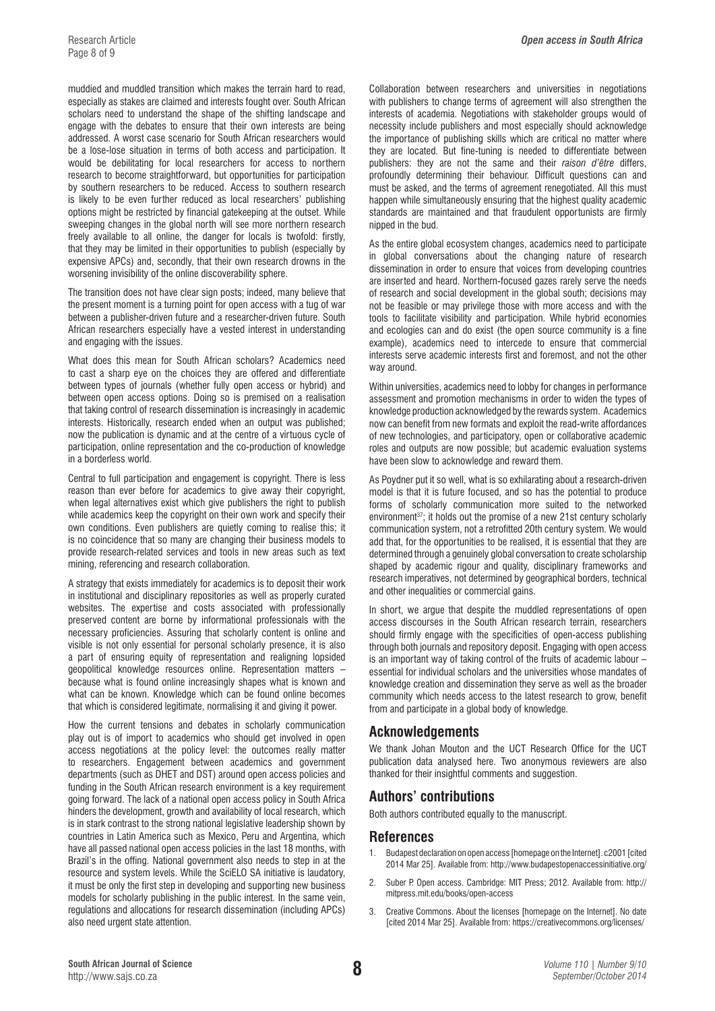muddied and muddled transition which makes the terrain hard to read, especially as stakes are claimed and interests fought over. South African scholars need to understand the shape of the shifting landscape and engage with the debates to ensure that their own interests are being addressed. A worst case scenario for South African researchers would be a lose-lose situation in terms of both access and participation. It would be debilitating for local researchers for access to northern research to become straightforward, but opportunities for participation by southern researchers to be reduced. Access to southern research is likely to be even further reduced as local researchers' publishing options might be restricted by financial gatekeeping at the outset. While sweeping changes in the global north will see more northern research freely available to all online, the danger for locals is twofold: firstly, that they may be limited in their opportunities to publish (especially by expensive APCs) and, secondly, that their own research drowns in the worsening invisibility of the online discoverability sphere.

The transition does not have clear sign posts; indeed, many believe that the present moment is a turning point for open access with a tug of war between a publisher-driven future and a researcher-driven future. South African researchers especially have a vested interest in understanding and engaging with the issues.

What does this mean for South African scholars? Academics need to cast a sharp eye on the choices they are offered and differentiate between types of journals (whether fully open access or hybrid) and between open access options. Doing so is premised on a realisation that taking control of research dissemination is increasingly in academic interests. Historically, research ended when an output was published; now the publication is dynamic and at the centre of a virtuous cycle of participation, online representation and the co-production of knowledge in a borderless world.

Central to full participation and engagement is copyright. There is less reason than ever before for academics to give away their copyright, when legal alternatives exist which give publishers the right to publish while academics keep the copyright on their own work and specify their own conditions. Even publishers are quietly coming to realise this; it is no coincidence that so many are changing their business models to provide research-related services and tools in new areas such as text mining, referencing and research collaboration.

A strategy that exists immediately for academics is to deposit their work in institutional and disciplinary repositories as well as properly curated websites. The expertise and costs associated with professionally preserved content are borne by informational professionals with the necessary proficiencies. Assuring that scholarly content is online and visible is not only essential for personal scholarly presence, it is also a part of ensuring equity of representation and realigning lopsided geopolitical knowledge resources online. Representation matters – because what is found online increasingly shapes what is known and what can be known. Knowledge which can be found online becomes that which is considered legitimate, normalising it and giving it power.

How the current tensions and debates in scholarly communication play out is of import to academics who should get involved in open access negotiations at the policy level: the outcomes really matter to researchers. Engagement between academics and government departments (such as DHET and DST) around open access policies and funding in the South African research environment is a key requirement going forward. The lack of a national open access policy in South Africa hinders the development, growth and availability of local research, which is in stark contrast to the strong national legislative leadership shown by countries in Latin America such as Mexico, Peru and Argentina, which have all passed national open access policies in the last 18 months, with Brazil's in the offing. National government also needs to step in at the resource and system levels. While the SciELO SA initiative is laudatory, it must be only the first step in developing and supporting new business models for scholarly publishing in the public interest. In the same vein, regulations and allocations for research dissemination (including APCs) also need urgent state attention.

Collaboration between researchers and universities in negotiations with publishers to change terms of agreement will also strengthen the interests of academia. Negotiations with stakeholder groups would of necessity include publishers and most especially should acknowledge the importance of publishing skills which are critical no matter where they are located. But fine-tuning is needed to differentiate between publishers: they are not the same and their *raison d'être* differs, profoundly determining their behaviour. Difficult questions can and must be asked, and the terms of agreement renegotiated. All this must happen while simultaneously ensuring that the highest quality academic standards are maintained and that fraudulent opportunists are firmly nipped in the bud.

As the entire global ecosystem changes, academics need to participate in global conversations about the changing nature of research dissemination in order to ensure that voices from developing countries are inserted and heard. Northern-focused gazes rarely serve the needs of research and social development in the global south; decisions may not be feasible or may privilege those with more access and with the tools to facilitate visibility and participation. While hybrid economies and ecologies can and do exist (the open source community is a fine example), academics need to intercede to ensure that commercial interests serve academic interests first and foremost, and not the other way around.

Within universities, academics need to lobby for changes in performance assessment and promotion mechanisms in order to widen the types of knowledge production acknowledged by the rewards system. Academics now can benefit from new formats and exploit the read-write affordances of new technologies, and participatory, open or collaborative academic roles and outputs are now possible; but academic evaluation systems have been slow to acknowledge and reward them.

As Poydner put it so well, what is so exhilarating about a research-driven model is that it is future focused, and so has the potential to produce forms of scholarly communication more suited to the networked environment<sup>37</sup>; it holds out the promise of a new 21st century scholarly communication system, not a retrofitted 20th century system. We would add that, for the opportunities to be realised, it is essential that they are determined through a genuinely global conversation to create scholarship shaped by academic rigour and quality, disciplinary frameworks and research imperatives, not determined by geographical borders, technical and other inequalities or commercial gains.

In short, we argue that despite the muddled representations of open access discourses in the South African research terrain, researchers should firmly engage with the specificities of open-access publishing through both journals and repository deposit. Engaging with open access is an important way of taking control of the fruits of academic labour – essential for individual scholars and the universities whose mandates of knowledge creation and dissemination they serve as well as the broader community which needs access to the latest research to grow, benefit from and participate in a global body of knowledge.

# **Acknowledgements**

We thank Johan Mouton and the UCT Research Office for the UCT publication data analysed here. Two anonymous reviewers are also thanked for their insightful comments and suggestion.

# **Authors' contributions**

Both authors contributed equally to the manuscript.

# **References**

- 1. Budapest declaration on open access [homepage on the Internet]. c2001 [cited 2014 Mar 25]. Available from: <http://www.budapestopenaccessinitiative.org/>
- 2. Suber P. Open access. Cambridge: MIT Press; 2012. Available from: [http://](http://mitpress.mit.edu/books/open-access) [mitpress.mit.edu/books/open-access](http://mitpress.mit.edu/books/open-access)
- 3. Creative Commons. About the licenses [homepage on the Internet]. No date [cited 2014 Mar 25]. Available from: <https://creativecommons.org/licenses/>